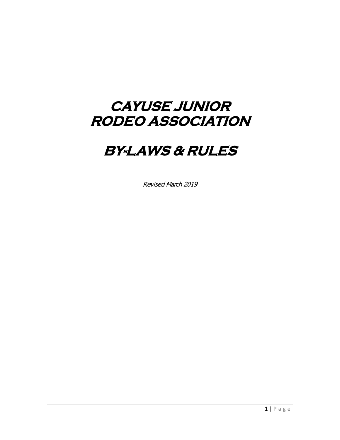# **CAYUSE JUNIOR RODEO ASSOCIATION**

# **BY-LAWS & RULES**

Revised March 2019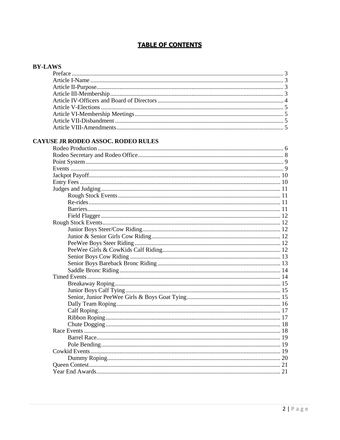### **TABLE OF CONTENTS**

#### **BY-LAWS**

### CAYUSE JR RODEO ASSOC. RODEO RULES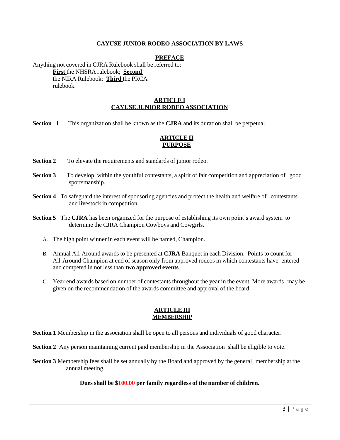#### **CAYUSE JUNIOR RODEO ASSOCIATION BY LAWS**

#### **PREFACE**

<span id="page-2-0"></span>Anything not covered in CJRA Rulebook shall be referred to: **First** the NHSRA rulebook; **Second** the NIRA Rulebook; **Third** the PRCA rulebook.

#### **ARTICLE I CAYUSE JUNIOR RODEO ASSOCIATION**

<span id="page-2-1"></span>**Section 1** This organization shall be known as the **CJRA** and its duration shall be perpetual.

#### **ARTICLE II PURPOSE**

**Section 2** To elevate the requirements and standards of junior rodeo.

- **Section <b>3** To develop, within the youthful contestants, a spirit of fair competition and appreciation of good sportsmanship.
- **Section 4** To safeguard the interest of sponsoring agencies and protect the health and welfare of contestants and livestock in competition.
- **Section 5** The **CJRA** has been organized for the purpose of establishing its own point's award system to determine the CJRA Champion Cowboys and Cowgirls.
	- A. The high point winner in each event will be named, Champion.
	- B. Annual All-Around awards to be presented at **CJRA** Banquet in each Division. Points to count for All-Around Champion at end of season only from approved rodeos in which contestants have entered and competed in not less than **two approved events**.
	- C. Year-end awards based on number of contestants throughout the year in the event. More awards may be given on the recommendation of the awards committee and approval of the board.

#### **ARTICLE III MEMBERSHIP**

<span id="page-2-2"></span>**Section 1** Membership in the association shall be open to all persons and individuals of good character.

**Section 2** Any person maintaining current paid membership in the Association shall be eligible to vote.

**Section 3** Membership fees shall be set annually by the Board and approved by the general membership at the annual meeting.

#### **Dues shall be \$100.00 per family regardless of the number of children.**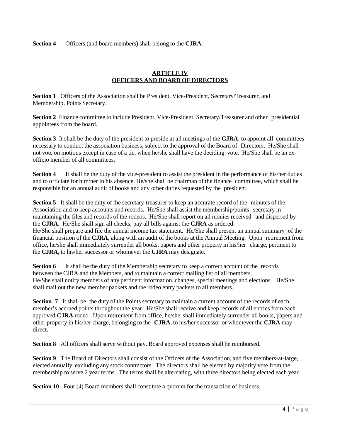**Section 4** Officers (and board members) shall belong to the **CJRA**.

#### **ARTICLE IV OFFICERS AND BOARD OF DIRECTORS**

**Section 1** Officers of the Association shall be President, Vice-President, Secretary/Treasurer, and Membership, Points Secretary.

**Section 2** Finance committee to include President, Vice-President, Secretary/Treasurer and other presidential appointees from the board.

**Section 3** It shall be the duty of the president to preside at all meetings of the **CJRA**; to appoint all committees necessary to conduct the association business, subject to the approval of the Board of Directors. He/She shall not vote on motions except in case of a tie, when he/she shall have the deciding vote. He/She shall be an exofficio member of all committees.

**Section 4** It shall be the duty of the vice-president to assist the president in the performance of his/her duties and to officiate for him/her in his absence. He/she shall be chairman of the finance committee, which shall be responsible for an annual audit of books and any other duties requested by the president.

**Section 5** It shall be the duty of the secretary-treasurer to keep an accurate record of the minutes of the Association and to keep accounts and records. He/She shall assist the membership/points secretary in maintaining the files and records of the rodeos. He/She shall report on all monies received and dispersed by the **CJRA**. He/She shall sign all checks; pay all bills against the **CJRA** as ordered. He/She shall prepare and file the annual income tax statement. He/She shall present an annual summary of the financial position of the **CJRA**, along with an audit of the books at the Annual Meeting. Upon retirement from office, he/she shall immediately surrender all books, papers and other property in his/her charge, pertinent to the **CJRA**, to his/her successor or whomever the **CJRA** may designate.

**Section 6** It shall be the duty of the Membership secretary to keep a correct account of the records between the CJRA and the Members, and to maintain a correct mailing list of all members. He/She shall notify members of any pertinent information, changes, special meetings and elections. He/She shall mail out the new member packets and the rodeo entry packets to all members.

**Section 7** It shall be the duty of the Points secretary to maintain a current account of the records of each member's accrued points throughout the year. He/She shall receive and keep records of all entries from each approved **CJRA** rodeo. Upon retirement from office, he/she shall immediately surrender all books, papers and other property in his/her charge, belonging to the **CJRA**, to his/her successor or whomever the **CJRA** may direct.

**Section 8** All officers shall serve without pay. Board approved expenses shall be reimbursed.

**Section 9** The Board of Directors shall consist of the Officers of the Association, and five members-at-large, elected annually, excluding any stock contractors. The directors shall be elected by majority vote from the membership to serve 2 year terms. The terms shall be alternating, with three directors being elected each year.

**Section 10** Four (4) Board members shall constitute a quorum for the transaction of business.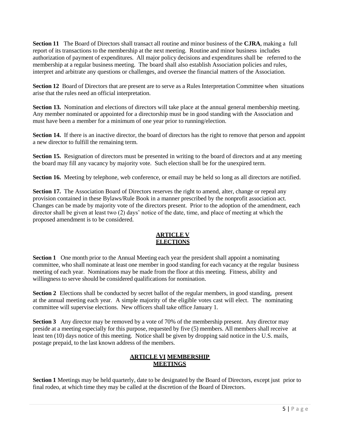**Section 11** The Board of Directors shall transact all routine and minor business of the **CJRA**, making a full report of its transactions to the membership at the next meeting. Routine and minor business includes authorization of payment of expenditures. All major policy decisions and expenditures shall be referred to the membership at a regular business meeting. The board shall also establish Association policies and rules, interpret and arbitrate any questions or challenges, and oversee the financial matters of the Association.

**Section 12** Board of Directors that are present are to serve as a Rules Interpretation Committee when situations arise that the rules need an official interpretation.

**Section 13.** Nomination and elections of directors will take place at the annual general membership meeting. Any member nominated or appointed for a directorship must be in good standing with the Association and must have been a member for a minimum of one year prior to running/election.

**Section 14.** If there is an inactive director, the board of directors has the right to remove that person and appoint a new director to fulfill the remaining term.

**Section 15.** Resignation of directors must be presented in writing to the board of directors and at any meeting the board may fill any vacancy by majority vote. Such election shall be for the unexpired term.

**Section 16.** Meeting by telephone, web conference, or email may be held so long as all directors are notified.

**Section 17.** The Association Board of Directors reserves the right to amend, alter, change or repeal any provision contained in these Bylaws/Rule Book in a manner prescribed by the nonprofit association act. Changes can be made by majority vote of the directors present. Prior to the adoption of the amendment, each director shall be given at least two (2) days' notice of the date, time, and place of meeting at which the proposed amendment is to be considered.

#### **ARTICLE V ELECTIONS**

<span id="page-4-0"></span>**Section 1** One month prior to the Annual Meeting each year the president shall appoint a nominating committee, who shall nominate at least one member in good standing for each vacancy at the regular business meeting of each year. Nominations may be made from the floor at this meeting. Fitness, ability and willingness to serve should be considered qualifications for nomination.

**Section 2** Elections shall be conducted by secret ballot of the regular members, in good standing, present at the annual meeting each year. A simple majority of the eligible votes cast will elect. The nominating committee will supervise elections. New officers shall take office January 1.

<span id="page-4-1"></span>**Section 3** Any director may be removed by a vote of 70% of the membership present. Any director may preside at a meeting especially for this purpose, requested by five (5) members. All members shall receive at least ten (10) days notice of this meeting. Notice shall be given by dropping said notice in the U.S. mails, postage prepaid, to the last known address of the members.

#### **ARTICLE VI MEMBERSHIP MEETINGS**

**Section 1** Meetings may be held quarterly, date to be designated by the Board of Directors, except just prior to final rodeo, at which time they may be called at the discretion of the Board of Directors.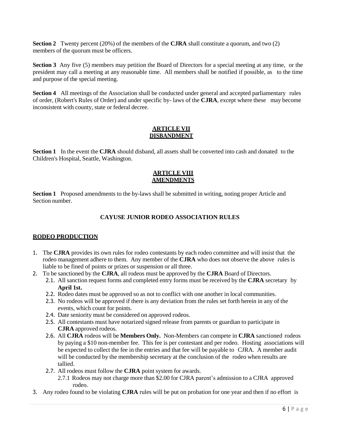**Section 2** Twenty percent (20%) of the members of the **CJRA** shall constitute a quorum, and two (2) members of the quorum must be officers.

**Section 3** Any five (5) members may petition the Board of Directors for a special meeting at any time, or the president may call a meeting at any reasonable time. All members shall be notified if possible, as to the time and purpose of the special meeting.

**Section 4** All meetings of the Association shall be conducted under general and accepted parliamentary rules of order, (Robert's Rules of Order) and under specific by- laws of the **CJRA**, except where these may become inconsistent with county, state or federal decree.

#### **ARTICLE VII DISBANDMENT**

<span id="page-5-1"></span><span id="page-5-0"></span>**Section 1** In the event the **CJRA** should disband, all assets shall be converted into cash and donated to the Children's Hospital, Seattle, Washington.

#### **ARTICLE VIII AMENDMENTS**

**Section 1** Proposed amendments to the by-laws shall be submitted in writing, noting proper Article and Section number.

#### **CAYUSE JUNIOR RODEO ASSOCIATION RULES**

#### <span id="page-5-2"></span>**RODEO PRODUCTION**

- 1. The **CJRA** provides its own rules for rodeo contestants by each rodeo committee and will insist that the rodeo management adhere to them. Any member of the **CJRA** who does not observe the above rules is liable to be fined of points or prizes or suspension or all three.
- 2. To be sanctioned by the **CJRA**, all rodeos must be approved by the **CJRA** Board of Directors.
	- 2.1. All sanction request forms and completed entry forms must be received by the **CJRA** secretary by **April 1st.**
		- 2.2. Rodeo dates must be approved so as not to conflict with one another in local communities.
		- 2.3. No rodeos will be approved if there is any deviation from the rules set forth herein in any of the events, which count for points.
		- 2.4. Date seniority must be considered on approved rodeos.
		- 2.5. All contestants must have notarized signed release from parents or guardian to participate in **CJRA** approved rodeos.
		- 2.6. All **CJRA** rodeos will be **Members Only.** Non-Members can compete in **CJRA** sanctioned rodeos by paying a \$10 non-member fee. This fee is per contestant and per rodeo. Hosting associations will be expected to collect the fee in the entries and that fee will be payable to CJRA. A member audit will be conducted by the membership secretary at the conclusion of the rodeo when results are tallied.
		- 2.7. All rodeos must follow the **CJRA** point system for awards.
			- 2.7.1 Rodeos may not charge more than \$2.00 for CJRA parent's admission to a CJRA approved rodeo.
- 3. Any rodeo found to be violating **CJRA** rules will be put on probation for one year and then if no effort is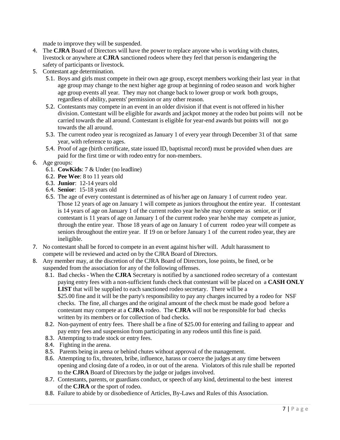made to improve they will be suspended.

- 4. The **CJRA** Board of Directors will have the power to replace anyone who is working with chutes, livestock or anywhere at **CJRA** sanctioned rodeos where they feel that person is endangering the safety of participants or livestock.
- 5. Contestant age determination.
	- 5.1. Boys and girls must compete in their own age group, except members working their last year in that age group may change to the next higher age group at beginning of rodeo season and work higher age group events all year. They may not change back to lower group or work both groups, regardless of ability, parents' permission or any other reason.
	- 5.2. Contestants may compete in an event in an older division if that event is not offered in his/her division. Contestant will be eligible for awards and jackpot money at the rodeo but points will not be carried towards the all around. Contestant is eligible for year-end awards but points will not go towards the all around.
	- 5.3. The current rodeo year is recognized as January 1 of every year through December 31 of that same year, with reference to ages.
	- 5.4. Proof of age (birth certificate, state issued ID, baptismal record) must be provided when dues are paid for the first time or with rodeo entry for non-members.
- 6. Age groups:
	- 6.1. **CowKids**: 7 & Under (no leadline)
	- 6.2. **Pee Wee**: 8 to 11 years old
	- 6.3. **Junior**: 12-14 years old
	- 6.4. **Senior**: 15-18 years old
	- 6.5. The age of every contestant is determined as of his/her age on January 1 of current rodeo year. Those 12 years of age on January 1 will compete as juniors throughout the entire year. If contestant is 14 years of age on January 1 of the current rodeo year he/she may compete as senior, or if contestant is 11 years of age on January 1 of the current rodeo year he/she may compete as junior, through the entire year. Those 18 years of age on January 1 of current rodeo year will compete as seniors throughout the entire year. If 19 on or before January 1 of the current rodeo year, they are ineligible.
- 7. No contestant shall be forced to compete in an event against his/her will. Adult harassment to compete will be reviewed and acted on by the CJRA Board of Directors.
- 8. Any member may, at the discretion of the CJRA Board of Directors, lose points, be fined, or be suspended from the association for any of the following offenses.
	- 8.1. Bad checks When the **CJRA** Secretary is notified by a sanctioned rodeo secretary of a contestant paying entry fees with a non-sufficient funds check that contestant will be placed on a **CASH ONLY LIST** that will be supplied to each sanctioned rodeo secretary. There will be a \$25.00 fine and it will be the party's responsibility to pay any charges incurred by a rodeo for NSF checks. The fine, all charges and the original amount of the check must be made good before a contestant may compete at a **CJRA** rodeo. The **CJRA** will not be responsible for bad checks written by its members or for collection of bad checks.
	- 8.2. Non-payment of entry fees. There shall be a fine of \$25.00 for entering and failing to appear and pay entry fees and suspension from participating in any rodeos until this fine is paid.
	- 8.3. Attempting to trade stock or entry fees.
	- 8.4. Fighting in the arena.
	- 8.5. Parents being in arena or behind chutes without approval of the management.
	- 8.6. Attempting to fix, threaten, bribe, influence, harass or coerce the judges at any time between opening and closing date of a rodeo, in or out of the arena. Violators of this rule shall be reported to the **CJRA** Board of Directors by the judge or judges involved.
	- 8.7. Contestants, parents, or guardians conduct, or speech of any kind, detrimental to the best interest of the **CJRA** or the sport of rodeo.
	- 8.8. Failure to abide by or disobedience of Articles, By-Laws and Rules of this Association.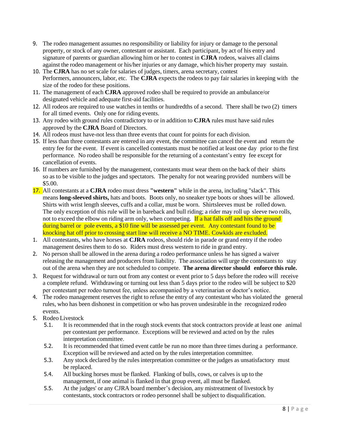- 9. The rodeo management assumes no responsibility or liability for injury or damage to the personal property, or stock of any owner, contestant or assistant. Each participant, by act of his entry and signature of parents or guardian allowing him or her to contest in **CJRA** rodeos, waives all claims against the rodeo management or his/her injuries or any damage, which his/her property may sustain.
- 10. The **CJRA** has no set scale for salaries of judges, timers, arena secretary, contest Performers, announcers, labor, etc. The **CJRA** expects the rodeos to pay fair salaries in keeping with the size of the rodeo for these positions.
- 11. The management of each **CJRA** approved rodeo shall be required to provide an ambulance/or designated vehicle and adequate first-aid facilities.
- 12. All rodeos are required to use watches in tenths or hundredths of a second. There shall be two (2) timers for all timed events. Only one for riding events.
- 13. Any rodeo with ground rules contradictory to or in addition to **CJRA** rules must have said rules approved by the **CJRA** Board of Directors.
- 14. All rodeos must have-not less than three events that count for points for each division.
- 15. If less than three contestants are entered in any event, the committee can cancel the event and return the entry fee for the event. If event is cancelled contestants must be notified at least one day prior to the first performance. No rodeo shall be responsible for the returning of a contestant's entry fee except for cancellation of events.
- 16. If numbers are furnished by the management, contestants must wear them on the back of their shirts so as to be visible to the judges and spectators. The penalty for not wearing provided numbers will be \$5.00.
- 17. All contestants at a **CJRA** rodeo must dress **"western"** while in the arena, including "slack". This means **long-sleeved shirts,** hats and boots. Boots only, no sneaker type boots or shoes will be allowed. Shirts with wrist length sleeves, cuffs and a collar, must be worn. Shirtsleeves must be rolled down. The only exception of this rule will be in bareback and bull riding; a rider may roll up sleeve two rolls, not to exceed the elbow on riding arm only, when competing. If a hat falls off and hits the ground during barrel or pole events, a \$10 fine will be assessed per event. Any contestant found to be knocking hat off prior to crossing start line will receive a NO TIME. Cowkids are excluded.
- 1. All contestants, who have horses at **CJRA** rodeos, should ride in parade or grand entry if the rodeo management desires them to do so. Riders must dress western to ride in grand entry.
- 2. No person shall be allowed in the arena during a rodeo performance unless he has signed a waiver releasing the management and producers from liability. The association will urge the contestants to stay out of the arena when they are not scheduled to compete. **The arena director should enforce this rule.**
- 3. Request for withdrawal or turn out from any contest or event prior to 5 days before the rodeo will receive a complete refund. Withdrawing or turning out less than 5 days prior to the rodeo will be subject to \$20 per contestant per rodeo turnout fee, unless accompanied by a veterinarian or doctor's notice.
- 4. The rodeo management reserves the right to refuse the entry of any contestant who has violated the general rules, who has been dishonest in competition or who has proven undesirable in the recognized rodeo events.
- 5. Rodeo Livestock
	- 5.1. It is recommended that in the rough stock events that stock contractors provide at least one animal per contestant per performance. Exceptions will be reviewed and acted on by the rules interpretation committee.
	- 5.2. It is recommended that timed event cattle be run no more than three times during a performance. Exception will be reviewed and acted on by the rules interpretation committee.
	- 5.3. Any stock declared by the rules interpretation committee or the judges as unsatisfactory must be replaced.
	- 5.4. All bucking horses must be flanked. Flanking of bulls, cows, or calves is up to the management, if one animal is flanked in that group event, all must be flanked.
	- 5.5. At the judges' or any CJRA board member's decision, any mistreatment of livestock by contestants, stock contractors or rodeo personnel shall be subject to disqualification.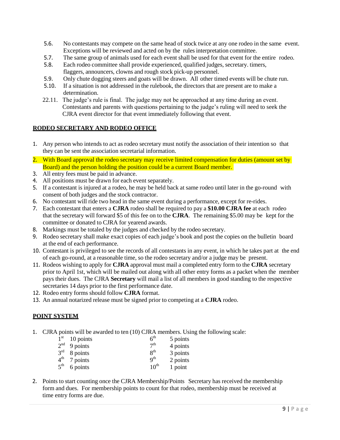- 5.6. No contestants may compete on the same head of stock twice at any one rodeo in the same event. Exceptions will be reviewed and acted on by the rulesinterpretation committee.
- 5.7. The same group of animals used for each event shall be used for that event for the entire rodeo.
- 5.8. Each rodeo committee shall provide experienced, qualified judges, secretary. timers, flaggers, announcers, clowns and rough stock pick-up personnel.
- 5.9. Only chute dogging steers and goats will be drawn. All other timed events will be chute run.
- 5.10. If a situation is not addressed in the rulebook, the directors that are present are to make a determination.
- 22.11. The judge's rule is final. The judge may not be approached at any time during an event. Contestants and parents with questions pertaining to the judge's ruling will need to seek the CJRA event director for that event immediately following that event.

#### <span id="page-8-0"></span>**RODEO SECRETARY AND RODEO OFFICE**

- 1. Any person who intends to act as rodeo secretary must notify the association of their intention so that they can be sent the association secretarial information.
- 2. With Board approval the rodeo secretary may receive limited compensation for duties (amount set by Board) and the person holding the position could be a current Board member.
- 3. All entry fees must be paid in advance.
- 4. All positions must be drawn for each event separately.
- 5. If a contestant is injured at a rodeo, he may be held back at same rodeo until later in the go-round with consent of both judges and the stock contractor.
- 6. No contestant will ride two head in the same event during a performance, except for re-rides.
- 7. Each contestant that enters a **CJRA** rodeo shall be required to pay a **\$10.00 CJRA fee** at each rodeo that the secretary will forward \$5 of this fee on to the **CJRA**. The remaining \$5.00 may be kept for the committee or donated to CJRA for yearend awards.
- 8. Markings must be totaled by the judges and checked by the rodeo secretary.
- 9. Rodeo secretary shall make exact copies of each judge's book and post the copies on the bulletin board at the end of each performance.
- 10. Contestant is privileged to see the records of all contestants in any event, in which he takes part at the end of each go-round, at a reasonable time, so the rodeo secretary and/or a judge may be present.
- 11. Rodeos wishing to apply for **CJRA** approval must mail a completed entry form to the **CJRA** secretary prior to April 1st, which will be mailed out along with all other entry forms as a packet when the member pays their dues. The CJRA **Secretary** will mail a list of all members in good standing to the respective secretaries 14 days prior to the first performance date.
- 12. Rodeo entry forms should follow **CJRA** format.
- 13. An annual notarized release must be signed prior to competing at a **CJRA** rodeo.

#### <span id="page-8-1"></span>**POINT SYSTEM**

1. CJRA points will be awarded to ten (10) CJRA members. Using the following scale:

| 1 <sup>st</sup> | 10 points | 6 <sup>th</sup>          | 5 points |
|-----------------|-----------|--------------------------|----------|
| 2 <sup>nd</sup> | 9 points  | 7 <sup>th</sup>          | 4 points |
| $3^{\text{rd}}$ | 8 points  | $\mathbf{Q}^{\text{th}}$ | 3 points |
| 4 <sup>th</sup> | 7 points  | $\mathbf{Q}^{\text{th}}$ | 2 points |
| $5^{\text{th}}$ | 6 points  | $10^{th}$                | 1 point  |

2. Points to start counting once the CJRA Membership/Points Secretary has received the membership form and dues. For membership points to count for that rodeo, membership must be received at time entry forms are due.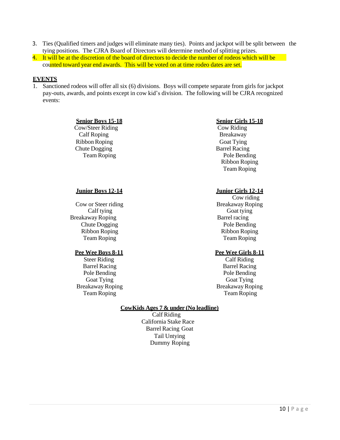- 3. Ties (Qualified timers and judges will eliminate many ties). Points and jackpot will be split between the tying positions. The CJRA Board of Directors will determine method of splitting prizes.
- 4. It will be at the discretion of the board of directors to decide the number of rodeos which will be counted toward year end awards. This will be voted on at time rodeo dates are set.

#### <span id="page-9-0"></span>**EVENTS**

1. Sanctioned rodeos will offer all six (6) divisions. Boys will compete separate from girls for jackpot pay-outs, awards, and points except in cow kid's division. The following will be CJRA recognized events:

#### **Senior Boys 15-18 Senior Girls 15-18**

 Cow/Steer Riding Cow Riding Calf Roping Breakaway Ribbon Roping Goat Tying Chute Dogging Barrel Racing

Team Roping Pole Bending Ribbon Roping Team Roping

Cow or Steer riding Breakaway Roping Breakaway Roping Barrel racing Chute Dogging Pole Bending Ribbon Roping Ribbon Roping Team Roping Team Roping

#### **Pee Wee Boys 8-11 Pee Wee Girls 8-11**

Barrel Racing Barrel Racing Pole Bending Pole Bending Goat Tying Goat Tying Breakaway Roping Breakaway Roping

#### **Junior Boys 12-14 Junior Girls 12-14**

Cow riding Calf tying Goat tying Goat tying

Steer Riding Calf Riding Team Roping Team Roping

#### **CowKids Ages 7 & under (No leadline)**

 Calf Riding California Stake Race Barrel Racing Goat Tail Untying Dummy Roping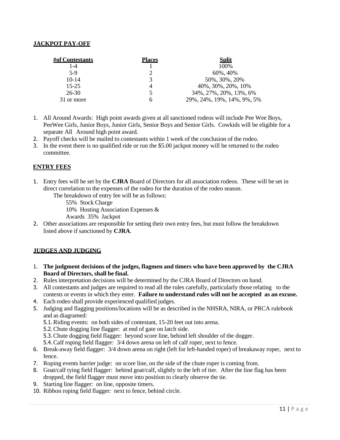#### <span id="page-10-0"></span>**JACKPOT PAY-OFF**

| #of Contestants | <b>Places</b> | <b>Split</b>               |
|-----------------|---------------|----------------------------|
| $1 - 4$         |               | 100\%                      |
| $5-9$           |               | 60%, 40%                   |
| $10-14$         | 3             | 50%, 30%, 20%              |
| $15 - 25$       |               | 40\%, 30\%, 20\%, 10\%     |
| $26-30$         |               | 34%, 27%, 20%, 13%, 6%     |
| 31 or more      |               | 29%, 24%, 19%, 14%, 9%, 5% |

- 1. All Around Awards: High point awards given at all sanctioned rodeos will include Pee Wee Boys, PeeWee Girls, Junior Boys, Junior Girls, Senior Boys and Senior Girls. Cowkids will be eligible for a separate All Around high point award.
- 2. Payoff checks will be mailed to contestants within 1 week of the conclusion of the rodeo.
- 3. In the event there is no qualified ride or run the \$5.00 jackpot money will be returned to the rodeo committee.

#### **ENTRY FEES**

Entry fees will be set by the **CJRA** Board of Directors for all association rodeos. These will be set in direct correlation to the expenses of the rodeo for the duration of the rodeo season.

The breakdown of entry fee will be as follows:

55% Stock Charge

10% Hosting Association Expenses &

Awards 35% Jackpot

Other associations are responsible for setting their own entry fees, but must follow the breakdown listed above if sanctioned by **CJRA**.

#### <span id="page-10-1"></span>**JUDGES AND JUDGING**

- 1. **The judgment decisions of the judges, flagmen and timers who have been approved by the CJRA Board of Directors, shall be final.**
- 2. Rules interpretation decisions will be determined by the CJRA Board of Directors on hand.
- 3. All contestants and judges are required to read all the rules carefully, particularly those relating to the contests or events in which they enter. **Failure to understand rules will not be accepted as an excuse.**
- 4. Each rodeo shall provide experienced qualified judges.
- 5. Judging and flagging positions/locations will be as described in the NHSRA, NIRA, or PRCA rulebook and as diagramed:

5.1.Riding events: on both sides of contestant, 15-20 feet out into arena.

5.2.Chute dogging line flagger: at end of gate on latch side.

5.3.Chute dogging field flagger: beyond score line, behind left shoulder of the dogger.

5.4.Calf roping field flagger: 3/4 down arena on left of calf roper, next to fence.

- 6. Break-away field flagger: 3/4 down arena on right (left for left-handed roper) of breakaway roper, next to fence.
- 7. Roping events barrier judge: on score line, on the side of the chute roper is coming from.
- 8. Goat/calf tying field flagger: behind goat/calf, slightly to the left of tier. After the line flag has been dropped, the field flagger must move into position to clearly observe the tie.
- 9. Starting line flagger: on line, opposite timers.
- 10. Ribbon roping field flagger: next to fence, behind circle.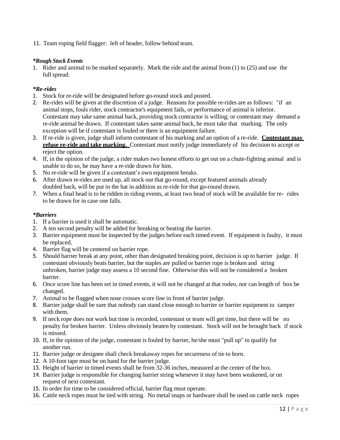<span id="page-11-0"></span>11. Team roping field flagger: left of header, follow behind team.

#### *\*Rough Stock Events*

1. Rider and animal to be marked separately. Mark the ride and the animal from (1) to (25) and use the full spread.

#### <span id="page-11-1"></span>*\*Re-rides*

- 1. Stock for re-ride will be designated before go-round stock and posted.
- 2. Re-rides will be given at the discretion of a judge. Reasons for possible re-rides are as follows: "if an animal stops, fouls rider, stock contractor's equipment fails, or performance of animal is inferior. Contestant may take same animal back, providing stock contractor is willing; or contestant may demand a re-ride animal be drawn. If contestant takes same animal back, he must take that marking. The only exception will be if contestant is fouled or there is an equipment failure.
- 3. If re-ride is given, judge shall inform contestant of his marking and an option of a re-ride. **Contestant may refuse re-ride and take marking.** Contestant must notify judge immediately of his decision to accept or reject the option.
- 4. If, in the opinion of the judge, a rider makes two honest efforts to get out on a chute-fighting animal and is unable to do so, he may have a re-ride drawn for him.
- 5. No re-ride will be given if a contestant's own equipment breaks.
- 6. After drawn re-rides are used up, all stock out that go-round, except featured animals already doubled back, will be put in the hat in addition as re-ride for that go-round drawn.
- 7. When a final head is to be ridden in riding events, at least two head of stock will be available for re- rides to be drawn for in case one falls.

#### <span id="page-11-2"></span>*\*Barriers*

- 1. If a barrier is used it shall be automatic.
- 2. A ten second penalty will be added for breaking or beating the barrier.
- 3. Barrier equipment must be inspected by the judges before each timed event. If equipment is faulty, it must be replaced.
- 4. Barrier flag will be centered on barrier rope.
- 5. Should barrier break at any point, other than designated breaking point, decision is up to barrier judge. If contestant obviously beats barrier, but the staples are pulled or barrier rope is broken and string unbroken, barrier judge may assess a 10 second fine. Otherwise this will not be considered a broken barrier.
- 6. Once score line has been set in timed events, it will not be changed at that rodeo, nor can length of box be changed.
- 7. Animal to be flagged when nose crosses score line in front of barrier judge.
- 8. Barrier judge shall be sure that nobody can stand close enough to barrier or barrier equipment to tamper with them.
- 9. If neck rope does not work but time is recorded, contestant or team will get time, but there will be no penalty for broken barrier. Unless obviously beaten by contestant. Stock will not be brought back if stock is missed.
- 10. If, in the opinion of the judge, contestant is fouled by barrier, he/she must "pull up" to qualify for another run.
- 11. Barrier judge or designee shall check breakaway ropes for secureness of tie to horn.
- 12. A 10-foot tape must be on hand for the barrier judge.
- 13. Height of barrier in timed events shall be from 32-36 inches, measured at the center of the box.
- 14. Barrier judge is responsible for changing barrier string whenever it may have been weakened, or on request of next contestant.
- 15. In order for time to be considered official, barrier flag must operate.
- 16. Cattle neck ropes must be tied with string. No metal snaps or hardware shall be used on cattle neck ropes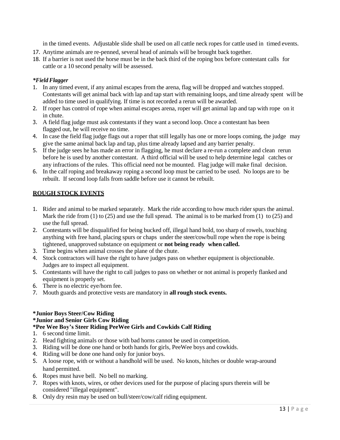in the timed events. Adjustable slide shall be used on all cattle neck ropes for cattle used in timed events.

- 17. Anytime animals are re-penned, several head of animals will be brought back together.
- 18. If a barrier is not used the horse must be in the back third of the roping box before contestant calls for cattle or a 10 second penalty will be assessed.

#### <span id="page-12-0"></span>*\*Field Flagger*

- 1. In any timed event, if any animal escapes from the arena, flag will be dropped and watches stopped. Contestants will get animal back with lap and tap start with remaining loops, and time already spent will be added to time used in qualifying. If time is not recorded a rerun will be awarded.
- 2. If roper has control of rope when animal escapes arena, roper will get animal lap and tap with rope on it in chute.
- 3. A field flag judge must ask contestants if they want a second loop. Once a contestant has been flagged out, he will receive no time.
- 4. In case the field flag judge flags out a roper that still legally has one or more loops coming, the judge may give the same animal back lap and tap, plus time already lapsed and any barrier penalty.
- 5. If the judge sees he has made an error in flagging, he must declare a re-run a complete and clean rerun before he is used by another contestant. A third official will be used to help determine legal catches or any infractions of the rules. This official need not be mounted. Flag judge will make final decision.
- 6. In the calf roping and breakaway roping a second loop must be carried to be used. No loops are to be rebuilt. If second loop falls from saddle before use it cannot be rebuilt.

#### <span id="page-12-1"></span>**ROUGH STOCK EVENTS**

- 1. Rider and animal to be marked separately. Mark the ride according to how much rider spurs the animal. Mark the ride from (1) to (25) and use the full spread. The animal is to be marked from (1) to (25) and use the full spread.
- 2. Contestants will be disqualified for being bucked off, illegal hand hold, too sharp of rowels, touching anything with free hand, placing spurs or chaps under the steer/cow/bull rope when the rope is being tightened, unapproved substance on equipment or **not being ready when called.**
- 3. Time begins when animal crosses the plane of the chute.
- 4. Stock contractors will have the right to have judges pass on whether equipment is objectionable. Judges are to inspect all equipment.
- 5. Contestants will have the right to call judges to pass on whether or not animal is properly flanked and equipment is properly set.
- 6. There is no electric eye/horn fee.
- 7. Mouth guards and protective vests are mandatory in **all rough stock events.**

#### <span id="page-12-2"></span>**\*Junior Boys Steer/Cow Riding \*Junior and Senior Girls Cow Riding \*Pee Wee Boy's Steer Riding PeeWee Girls and Cowkids Calf Riding**

- 1. 6 second time limit.
- 2. Head fighting animals or those with bad horns cannot be used in competition.
- 3. Riding will be done one hand or both hands for girls, PeeWee boys and cowkids.
- 4. Riding will be done one hand only for junior boys.
- 5. A loose rope, with or without a handhold will be used. No knots, hitches or double wrap-around hand permitted.
- 6. Ropes must have bell. No bell no marking.
- 7. Ropes with knots, wires, or other devices used for the purpose of placing spurs therein will be considered "illegal equipment".
- 8. Only dry resin may be used on bull/steer/cow/calf riding equipment.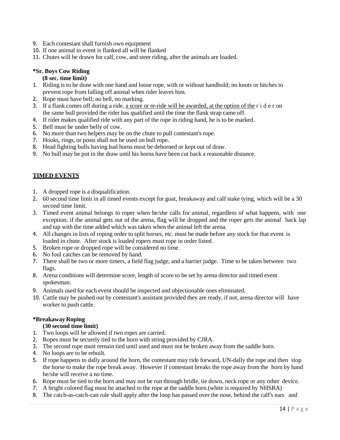- 9. Each contestant shall furnish own equipment
- 10. If one animal in event is flanked all will be flanked
- 11. Chutes will be drawn for calf, cow, and steer riding, after the animals are loaded.

#### **\*Sr. Boys Cow Riding**

#### **(8 sec. time limit)**

- 1. Riding is to be done with one hand and loose rope, with or without handhold; no knots or hitches to prevent rope from falling off animal when rider leaves him.
- 2. Rope must have bell; no bell, no marking.
- 3. If a flank comes off during a ride, a score or re-ride will be awarded, at the option of the r i d  $e$  r on the same bull provided the rider has qualified until the time the flank strap came off.
- 4. If rider makes qualified ride with any part of the rope in riding hand, he is to be marked.
- 5. Bell must be under belly of cow.
- 6. No more than two helpers may be on the chute to pull contestant's rope.
- 7. Hooks, rings, or posts shall not be used on bull rope.
- 8. Head fighting bulls having bad horns must be dehorned or kept out of draw.
- 9. No bull may be put in the draw until his horns have been cut back a reasonable distance.

#### <span id="page-13-0"></span>**TIMED EVENTS**

- 1. A dropped rope is a disqualification.
- 2. 60 second time limit in all timed events except for goat, breakaway and calf stake tying, which will be a 30 second time limit.
- 3. Timed event animal belongs to roper when he/she calls for animal, regardless of what happens, with one exception; if the animal gets out of the arena, flag will be dropped and the roper gets the animal back lap and tap with the time added which was taken when the animal left the arena.
- 4. All changes in lists of roping order to split horses, etc. must be made before any stock for that event is loaded in chute. After stock is loaded ropers must rope in order listed.
- 5. Broken rope or dropped rope will be considered no time.
- 6. No foul catches can be removed by hand.
- 7. There shall be two or more timers, a field flag judge, and a barrier judge. Time to be taken between two flags.
- 8. Arena conditions will determine score, length of score to be set by arena director and timed event spokesman.
- 9. Animals used for each event should be inspected and objectionable ones eliminated.
- 10. Cattle may be pushed out by contestant's assistant provided they are ready, if not, arena director will have worker to push cattle.

#### <span id="page-13-1"></span>**\*Breakaway Roping**

#### **(30 second time limit)**

- 1. Two loops will be allowed if two ropes are carried.
- 2. Ropes must be securely tied to the horn with string provided by CJRA.
- 3. The second rope must remain tied until used and must not be broken away from the saddle horn.
- 4. No loops are to be rebuilt.
- 5. If rope happens to dally around the horn, the contestant may ride forward, UN-dally the rope and then stop the horse to make the rope break away. However if contestant breaks the rope away from the horn by hand he/she will receive a no time.
- 6. Rope must be tied to the horn and may not be run through bridle, tie down, neck rope or any other device.
- 7. A bright colored flag must be attached to the rope at the saddle horn.(white is required by NHSRA)
- 8. The catch-as-catch-can rule shall apply after the loop has passed over the nose, behind the calf's ears and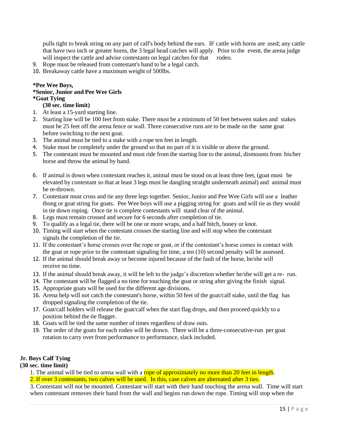pulls tight to break string on any part of calf's body behind the ears. IF cattle with horns are used; any cattle that have two inch or greater horns, the 3 legal head catches will apply. Prior to the event, the arena judge will inspect the cattle and advise contestants on legal catches for that rodeo.

- 9. Rope must be released from contestant's hand to be a legal catch.
- 10. Breakaway cattle have a maximum weight of 500lbs.

#### **\*Pee Wee Boys,**

## **\*Senior, Junior and Pee Wee Girls**

## **\*Goat Tying**

**(30 sec. time limit)**

- 1. At least a 15-yard starting line.
- 2. Starting line will be 100 feet from stake. There must be a minimum of 50 feet between stakes and stakes must be 25 feet off the arena fence or wall. Three consecutive runs are to be made on the same goat before switching to the next goat.
- 3. The animal must be tied to a stake with a rope ten feet in length.
- 4. Stake must be completely under the ground so that no part of it is visible or above the ground.
- 5. The contestant must be mounted and must ride from the starting line to the animal, dismounts from his/her horse and throw the animal by hand.
- 6. If animal is down when contestant reaches it, animal must be stood on at least three feet, (goat must be elevated by contestant so that at least 3 legs must be dangling straight underneath animal) and animal must be re-thrown.
- 7. Contestant must cross and tie any three legs together. Senior, Junior and Pee Wee Girls will use a leather thong or goat string for goats. Pee Wee boys will use a pigging string for goats and will tie as they would in tie down roping. Once tie is complete contestants will stand clear of the animal.
- 8. Legs must remain crossed and secure for 6 seconds after completion of tie.
- 9. To qualify as a legal tie, there will be one or more wraps, and a half hitch, hooey or knot.
- 10. Timing will start when the contestant crosses the starting line and will stop when the contestant signals the completion of the tie.
- 11. If the contestant's horse crosses over the rope or goat, or if the contestant's horse comes in contact with the goat or rope prior to the contestant signaling for time, a ten (10) second penalty will be assessed.
- 12. If the animal should break away or become injured because of the fault of the horse, he/she will receive no time.
- 13. If the animal should break away, it will be left to the judge's discretion whether he/she will get a re- run.
- 14. The contestant will be flagged a no time for touching the goat or string after giving the finish signal.
- 15. Appropriate goats will be used for the different age divisions.
- 16. Arena help will not catch the contestant's horse, within 50 feet of the goat/calf stake, until the flag has dropped signaling the completion of the tie.
- 17. Goat/calf holders will release the goat/calf when the start flag drops, and then proceed quickly to a position behind the tie flagger.
- 18. Goats will be tied the same number of times regardless of draw outs.
- 19. The order of the goats for each rodeo will be drawn. There will be a three-consecutive-run per goat rotation to carry over from performance to performance, slack included.

#### **Jr. Boys Calf Tying**

#### **(30 sec. time limit)**

1. The animal will be tied to arena wall with a rope of approximately no more than 20 feet in length. 2. If over 3 contestants, two calves will be used. In this, case calves are alternated after 3 ties.

3. Contestant will not be mounted. Contestant will start with their hand touching the arena wall. Time will start when contestant removes their hand from the wall and begins run down the rope. Timing will stop when the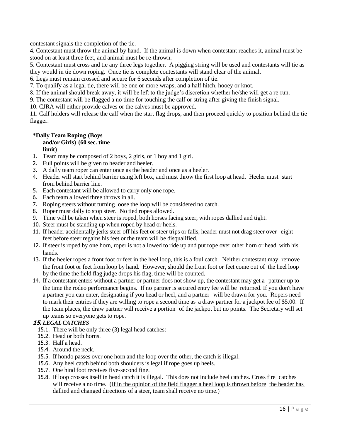contestant signals the completion of the tie.

4. Contestant must throw the animal by hand. If the animal is down when contestant reaches it, animal must be stood on at least three feet, and animal must be re-thrown.

5. Contestant must cross and tie any three legs together. A pigging string will be used and contestants will tie as they would in tie down roping. Once tie is complete contestants will stand clear of the animal.

6. Legs must remain crossed and secure for 6 seconds after completion of tie.

7. To qualify as a legal tie, there will be one or more wraps, and a half hitch, hooey or knot.

8. If the animal should break away, it will be left to the judge's discretion whether he/she will get a re-run.

9. The contestant will be flagged a no time for touching the calf or string after giving the finish signal.

10. CJRA will either provide calves or the calves must be approved.

11. Calf holders will release the calf when the start flag drops, and then proceed quickly to position behind the tie flagger.

#### **\*Dally Team Roping (Boys and/or Girls) (60 sec. time limit)**

- 1. Team may be composed of 2 boys, 2 girls, or 1 boy and 1 girl.
- 2. Full points will be given to header and heeler.
- 3. A dally team roper can enter once as the header and once as a heeler.
- 4. Header will start behind barrier using left box, and must throw the first loop at head. Heeler must start from behind barrier line.
- 5. Each contestant will be allowed to carry only one rope.
- 6. Each team allowed three throws in all.
- 7. Roping steers without turning loose the loop will be considered no catch.
- 8. Roper must dally to stop steer. No tied ropes allowed.
- 9. Time will be taken when steer is roped, both horses facing steer, with ropes dallied and tight.
- 10. Steer must be standing up when roped by head or heels.
- 11. If header accidentally jerks steer off his feet or steer trips or falls, header must not drag steer over eight feet before steer regains his feet or the team will be disqualified.
- 12. If steer is roped by one horn, roper is not allowed to ride up and put rope over other horn or head with his hands.
- 13. If the heeler ropes a front foot or feet in the heel loop, this is a foul catch. Neither contestant may remove the front foot or feet from loop by hand. However, should the front foot or feet come out of the heel loop by the time the field flag judge drops his flag, time will be counted.
- 14. If a contestant enters without a partner or partner does not show up, the contestant may get a partner up to the time the rodeo performance begins. If no partner is secured entry fee will be returned. If you don't have a partner you can enter, designating if you head or heel, and a partner will be drawn for you. Ropers need to mark their entries if they are willing to rope a second time as a draw partner for a jackpot fee of \$5.00. If the team places, the draw partner will receive a portion of the jackpot but no points. The Secretary will set up teams so everyone gets to rope.

#### **15.** *LEGALCATCHES*

- 15.1. There will be only three (3) legal head catches:
- 15.2. Head or both horns.
- 15.3. Half a head.
- 15.4. Around the neck.
- 15.5. If hondo passes over one horn and the loop over the other, the catch is illegal.
- 15.6. Any heel catch behind both shoulders is legal if rope goes up heels.
- 15.7. One hind foot receives five-second fine.
- 15.8. If loop crosses itself in head catch it is illegal. This does not include heel catches. Cross fire catches will receive a no time. (If in the opinion of the field flagger a heel loop is thrown before the header has dallied and changed directions of a steer, team shall receive no time.)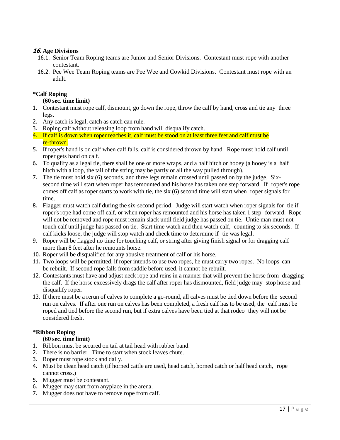#### **16. Age Divisions**

- 16.1. Senior Team Roping teams are Junior and Senior Divisions. Contestant must rope with another contestant.
- 16.2. Pee Wee Team Roping teams are Pee Wee and Cowkid Divisions. Contestant must rope with an adult.

#### <span id="page-16-0"></span>**\*Calf Roping**

#### **(60 sec. time limit)**

- 1. Contestant must rope calf, dismount, go down the rope, throw the calf by hand, cross and tie any three legs.
- 2. Any catch is legal, catch as catch can rule.
- 3. Roping calf without releasing loop from hand will disqualify catch.
- 4. If calf is down when roper reaches it, calf must be stood on at least three feet and calf must be re-thrown.
- 5. If roper's hand is on calf when calf falls, calf is considered thrown by hand. Rope must hold calf until roper gets hand on calf.
- 6. To qualify as a legal tie, there shall be one or more wraps, and a half hitch or hooey (a hooey is a half hitch with a loop, the tail of the string may be partly or all the way pulled through).
- 7. The tie must hold six (6) seconds, and three legs remain crossed until passed on by the judge. Sixsecond time will start when roper has remounted and his horse has taken one step forward. If roper's rope comes off calf as roper starts to work with tie, the six (6) second time will start when roper signals for time.
- 8. Flagger must watch calf during the six-second period. Judge will start watch when roper signals for tie if roper's rope had come off calf, or when roper has remounted and his horse has taken 1 step forward. Rope will not be removed and rope must remain slack until field judge has passed on tie. Untie man must not touch calf until judge has passed on tie. Start time watch and then watch calf, counting to six seconds. If calf kicks loose, the judge will stop watch and check time to determine if tie was legal.
- 9. Roper will be flagged no time for touching calf, or string after giving finish signal or for dragging calf more than 8 feet after he remounts horse.
- 10. Roper will be disqualified for any abusive treatment of calf or his horse.
- 11. Two loops will be permitted, if roper intends to use two ropes, he must carry two ropes. No loops can be rebuilt. If second rope falls from saddle before used, it cannot be rebuilt.
- 12. Contestants must have and adjust neck rope and reins in a manner that will prevent the horse from dragging the calf. If the horse excessively drags the calf after roper has dismounted, field judge may stop horse and disqualify roper.
- 13. If there must be a rerun of calves to complete a go-round, all calves must be tied down before the second run on calves. If after one run on calves has been completed, a fresh calf has to be used, the calf must be roped and tied before the second run, but if extra calves have been tied at that rodeo they will not be considered fresh.

#### <span id="page-16-1"></span>**\*Ribbon Roping**

#### **(60 sec. time limit)**

- 1. Ribbon must be secured on tail at tail head with rubber band.
- 2. There is no barrier. Time to start when stock leaves chute.
- 3. Roper must rope stock and dally.
- 4. Must be clean head catch (if horned cattle are used, head catch, horned catch or half head catch, rope cannot cross.)
- 5. Mugger must be contestant.
- 6. Mugger may start from anyplace in the arena.
- 7. Mugger does not have to remove rope from calf.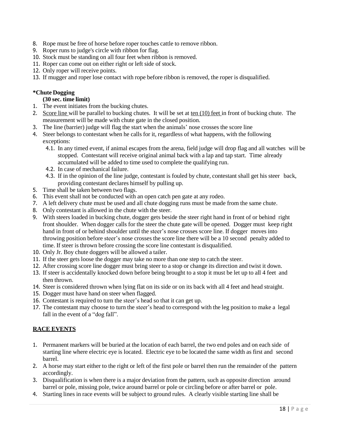- 8. Rope must be free of horse before roper touches cattle to remove ribbon.
- 9. Roper runs to judge's circle with ribbon for flag.
- 10. Stock must be standing on all four feet when ribbon is removed.
- 11. Roper can come out on either right or left side of stock.
- 12. Only roper will receive points.
- 13. If mugger and roper lose contact with rope before ribbon is removed, the roper is disqualified.

#### <span id="page-17-0"></span>**\*Chute Dogging**

#### **(30 sec. time limit)**

- 1. The event initiates from the bucking chutes.
- 2. Score line will be parallel to bucking chutes. It will be set at ten (10) feet in front of bucking chute. The measurement will be made with chute gate in the closed position.
- 3. The line (barrier) judge will flag the start when the animals' nose crosses the score line
- 4. Steer belongs to contestant when he calls for it, regardless of what happens, with the following exceptions:
	- 4.1. In any timed event, if animal escapes from the arena, field judge will drop flag and all watches will be stopped. Contestant will receive original animal back with a lap and tap start. Time already accumulated will be added to time used to complete the qualifying run.
	- 4.2. In case of mechanical failure.
	- 4.3. If in the opinion of the line judge, contestant is fouled by chute, contestant shall get his steer back, providing contestant declares himself by pulling up.
- 5. Time shall be taken between two flags.
- 6. This event shall not be conducted with an open catch pen gate at any rodeo.
- 7. A left delivery chute must be used and all chute dogging runs must be made from the same chute.
- 8. Only contestant is allowed in the chute with the steer.
- 9. With steers loaded in bucking chute, dogger gets beside the steer right hand in front of or behind right front shoulder. When dogger calls for the steer the chute gate will be opened. Dogger must keep right hand in front of or behind shoulder until the steer's nose crosses score line. If dogger moves into throwing position before steer's nose crosses the score line there will be a 10 second penalty added to time. If steer is thrown before crossing the score line contestant is disqualified.
- 10. Only Jr. Boy chute doggers will be allowed a tailer.
- 11. If the steer gets loose the dogger may take no more than one step to catch the steer.
- 12. After crossing score line dogger must bring steer to a stop or change its direction and twist it down.
- 13. If steer is accidentally knocked down before being brought to a stop it must be let up to all 4 feet and then thrown.
- 14. Steer is considered thrown when lying flat on its side or on its back with all 4 feet and head straight.
- 15. Dogger must have hand on steer when flagged.
- 16. Contestant is required to turn the steer's head so that it can get up.
- 17. The contestant may choose to turn the steer's head to correspond with the leg position to make a legal fall in the event of a "dog fall".

#### <span id="page-17-1"></span>**RACE EVENTS**

- 1. Permanent markers will be buried at the location of each barrel, the two end poles and on each side of starting line where electric eye is located. Electric eye to be located the same width as first and second barrel.
- 2. A horse may start either to the right or left of the first pole or barrel then run the remainder of the pattern accordingly.
- 3. Disqualification is when there is a major deviation from the pattern, such as opposite direction around barrel or pole, missing pole, twice around barrel or pole or circling before or after barrel or pole.
- 4. Starting lines in race events will be subject to ground rules. A clearly visible starting line shall be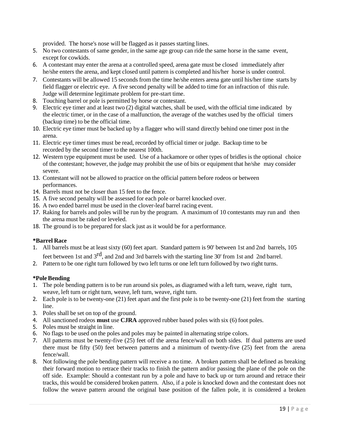provided. The horse's nose will be flagged as it passes starting lines.

- 5. No two contestants of same gender, in the same age group can ride the same horse in the same event, except for cowkids.
- 6. A contestant may enter the arena at a controlled speed, arena gate must be closed immediately after he/she enters the arena, and kept closed until pattern is completed and his/her horse is under control.
- 7. Contestants will be allowed 15 seconds from the time he/she enters arena gate until his/her time starts by field flagger or electric eye. A five second penalty will be added to time for an infraction of this rule. Judge will determine legitimate problem for pre-start time.
- 8. Touching barrel or pole is permitted by horse or contestant.
- 9. Electric eye timer and at least two (2) digital watches, shall be used, with the official time indicated by the electric timer, or in the case of a malfunction, the average of the watches used by the official timers (backup time) to be the official time.
- 10. Electric eye timer must be backed up by a flagger who will stand directly behind one timer post in the arena.
- 11. Electric eye timer times must be read, recorded by official timer or judge. Backup time to be recorded by the second timer to the nearest 100th.
- 12. Western type equipment must be used. Use of a hackamore or other types of bridles is the optional choice of the contestant; however, the judge may prohibit the use of bits or equipment that he/she may consider severe.
- 13. Contestant will not be allowed to practice on the official pattern before rodeos or between performances.
- 14. Barrels must not be closer than 15 feet to the fence.
- 15. A five second penalty will be assessed for each pole or barrel knocked over.
- 16. A two ended barrel must be used in the clover-leaf barrel racing event.
- 17. Raking for barrels and poles will be run by the program. A maximum of 10 contestants may run and then the arena must be raked or leveled.
- 18. The ground is to be prepared for slack just as it would be for a performance.

#### <span id="page-18-0"></span>**\*Barrel Race**

- 1. All barrels must be at least sixty (60) feet apart. Standard pattern is 90' between 1st and 2nd barrels, 105 feet between 1st and 3<sup>rd</sup>, and 2nd and 3rd barrels with the starting line 30' from 1st and 2nd barrel.
- 2. Pattern to be one right turn followed by two left turns or one left turn followed by two right turns.

#### <span id="page-18-1"></span>**\*Pole Bending**

- 1. The pole bending pattern is to be run around six poles, as diagramed with a left turn, weave, right turn, weave, left turn or right turn, weave, left turn, weave, right turn.
- 2. Each pole is to be twenty-one (21) feet apart and the first pole is to be twenty-one (21) feet from the starting line.
- 3. Poles shall be set on top of the ground.
- 4. All sanctioned rodeos **must** use **CJRA** approved rubber based poles with six (6) foot poles.
- 5. Poles must be straight in line.
- 6. No flags to be used on the poles and poles may be painted in alternating stripe colors.
- 7. All patterns must be twenty-five (25) feet off the arena fence/wall on both sides. If dual patterns are used there must be fifty (50) feet between patterns and a minimum of twenty-five (25) feet from the arena fence/wall.
- 8. Not following the pole bending pattern will receive a no time. A broken pattern shall be defined as breaking their forward motion to retrace their tracks to finish the pattern and/or passing the plane of the pole on the off side. Example: Should a contestant run by a pole and have to back up or turn around and retrace their tracks, this would be considered broken pattern. Also, if a pole is knocked down and the contestant does not follow the weave pattern around the original base position of the fallen pole, it is considered a broken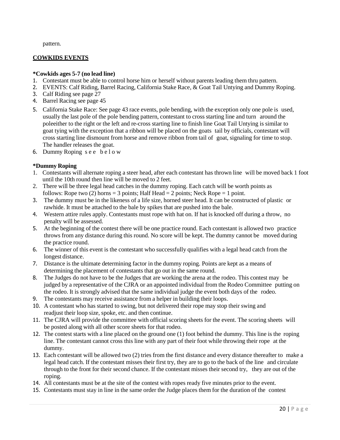pattern.

#### **COWKIDS EVENTS**

#### **\*Cowkids ages 5-7 (no lead line)**

- 1. Contestant must be able to control horse him or herself without parents leading them thru pattern.
- 2. EVENTS: Calf Riding, Barrel Racing, California Stake Race, & Goat Tail Untying and Dummy Roping.
- 3. Calf Riding see page 27
- 4. Barrel Racing see page 45
- 5. California Stake Race: See page 43 race events, pole bending, with the exception only one pole is used, usually the last pole of the pole bending pattern, contestant to cross starting line and turn around the poleeither to the right or the left and re-cross starting line to finish line Goat Tail Untying is similar to goat tying with the exception that a ribbon will be placed on the goats tail by officials, contestant will cross starting line dismount from horse and remove ribbon from tail of goat, signaling for time to stop. The handler releases the goat.
- 6. Dummy Roping see below

#### <span id="page-19-0"></span>**\*Dummy Roping**

- 1. Contestants will alternate roping a steer head, after each contestant has thrown line will be moved back 1 foot until the 10th round then line will be moved to 2 feet.
- 2. There will be three legal head catches in the dummy roping. Each catch will be worth points as follows: Rope two (2) horns = 3 points; Half Head = 2 points; Neck Rope = 1 point.
- 3. The dummy must be in the likeness of a life size, horned steer head. It can be constructed of plastic or rawhide. It must be attached to the bale by spikes that are pushed into the bale.
- 4. Western attire rules apply. Contestants must rope with hat on. If hat is knocked off during a throw, no penalty will be assessed.
- 5. At the beginning of the contest there will be one practice round. Each contestant is allowed two practice throws from any distance during this round. No score will be kept. The dummy cannot be moved during the practice round.
- 6. The winner of this event is the contestant who successfully qualifies with a legal head catch from the longest distance.
- 7. Distance is the ultimate determining factor in the dummy roping. Points are kept as a means of determining the placement of contestants that go out in the same round.
- 8. The Judges do not have to be the Judges that are working the arena at the rodeo. This contest may be judged by a representative of the CJRA or an appointed individual from the Rodeo Committee putting on the rodeo. It is strongly advised that the same individual judge the event both days of the rodeo.
- 9. The contestants may receive assistance from a helper in building their loops.
- 10. A contestant who has started to swing, but not delivered their rope may stop their swing and readjust their loop size, spoke, etc. and then continue.
- 11. The CJRA will provide the committee with official scoring sheets for the event. The scoring sheets will be posted along with all other score sheets for that rodeo.
- 12. The contest starts with a line placed on the ground one (1) foot behind the dummy. This line is the roping line. The contestant cannot cross this line with any part of their foot while throwing their rope at the dummy.
- 13. Each contestant will be allowed two (2) tries from the first distance and every distance thereafter to make a legal head catch. If the contestant misses their first try, they are to go to the back of the line and circulate through to the front for their second chance. If the contestant misses their second try, they are out of the roping.
- 14. All contestants must be at the site of the contest with ropes ready five minutes prior to the event.
- 15. Contestants must stay in line in the same order the Judge places them for the duration of the contest